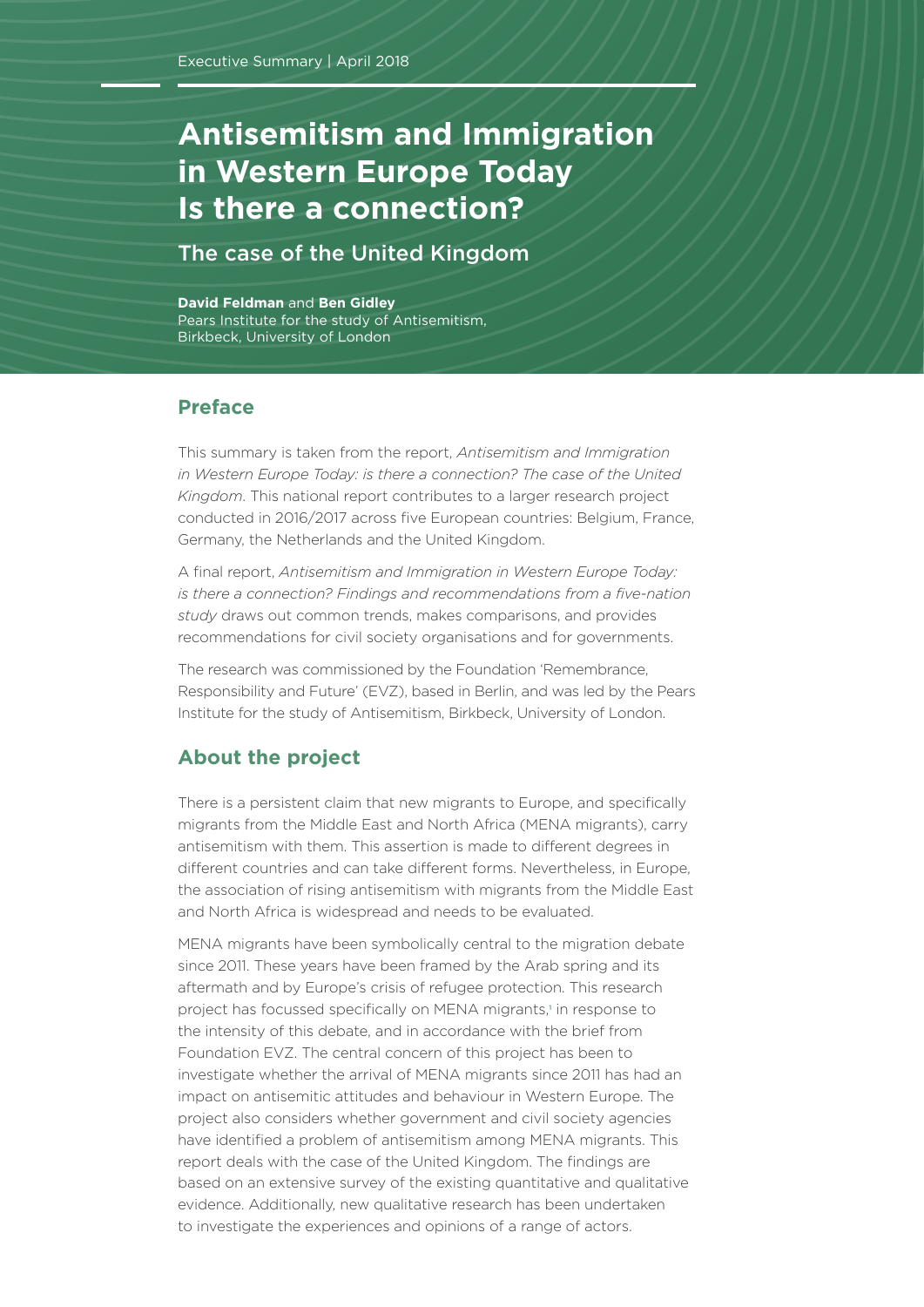# <span id="page-0-0"></span>**Antisemitism and Immigration in Western Europe Today Today Is there a connection?**

The case of the United Kingdom

**David Feldman** and **Ben Gidley** Pears Institute for the study of Antisemitism, Birkbeck, University of London

# **Preface**

This summary is taken from the report, *Antisemitism and Immigration in Western Europe Today: is there a connection? The case of the United Kingdom*. This national report contributes to a larger research project conducted in 2016/2017 across five European countries: Belgium, France, Germany, the Netherlands and the United Kingdom.

A final report, *Antisemitism and Immigration in Western Europe Today: is there a connection? Findings and recommendations from a five-nation study* draws out common trends, makes comparisons, and provides recommendations for civil society organisations and for governments.

The research was commissioned by the Foundation 'Remembrance, Responsibility and Future' (EVZ), based in Berlin, and was led by the Pears Institute for the study of Antisemitism, Birkbeck, University of London.

## **About the project**

There is a persistent claim that new migrants to Europe, and specifically migrants from the Middle East and North Africa (MENA migrants), carry antisemitism with them. This assertion is made to different degrees in different countries and can take different forms. Nevertheless, in Europe, the association of rising antisemitism with migrants from the Middle East and North Africa is widespread and needs to be evaluated.

MENA migrants have been symbolically central to the migration debate since 2011. These years have been framed by the Arab spring and its aftermath and by Europe's crisis of refugee protection. This research project has focussed specifically on MENA migrants,<sup>[1](#page-5-0)</sup> in response to the intensity of this debate, and in accordance with the brief from Foundation EVZ. The central concern of this project has been to investigate whether the arrival of MENA migrants since 2011 has had an impact on antisemitic attitudes and behaviour in Western Europe. The project also considers whether government and civil society agencies have identified a problem of antisemitism among MENA migrants. This report deals with the case of the United Kingdom. The findings are based on an extensive survey of the existing quantitative and qualitative evidence. Additionally, new qualitative research has been undertaken to investigate the experiences and opinions of a range of actors.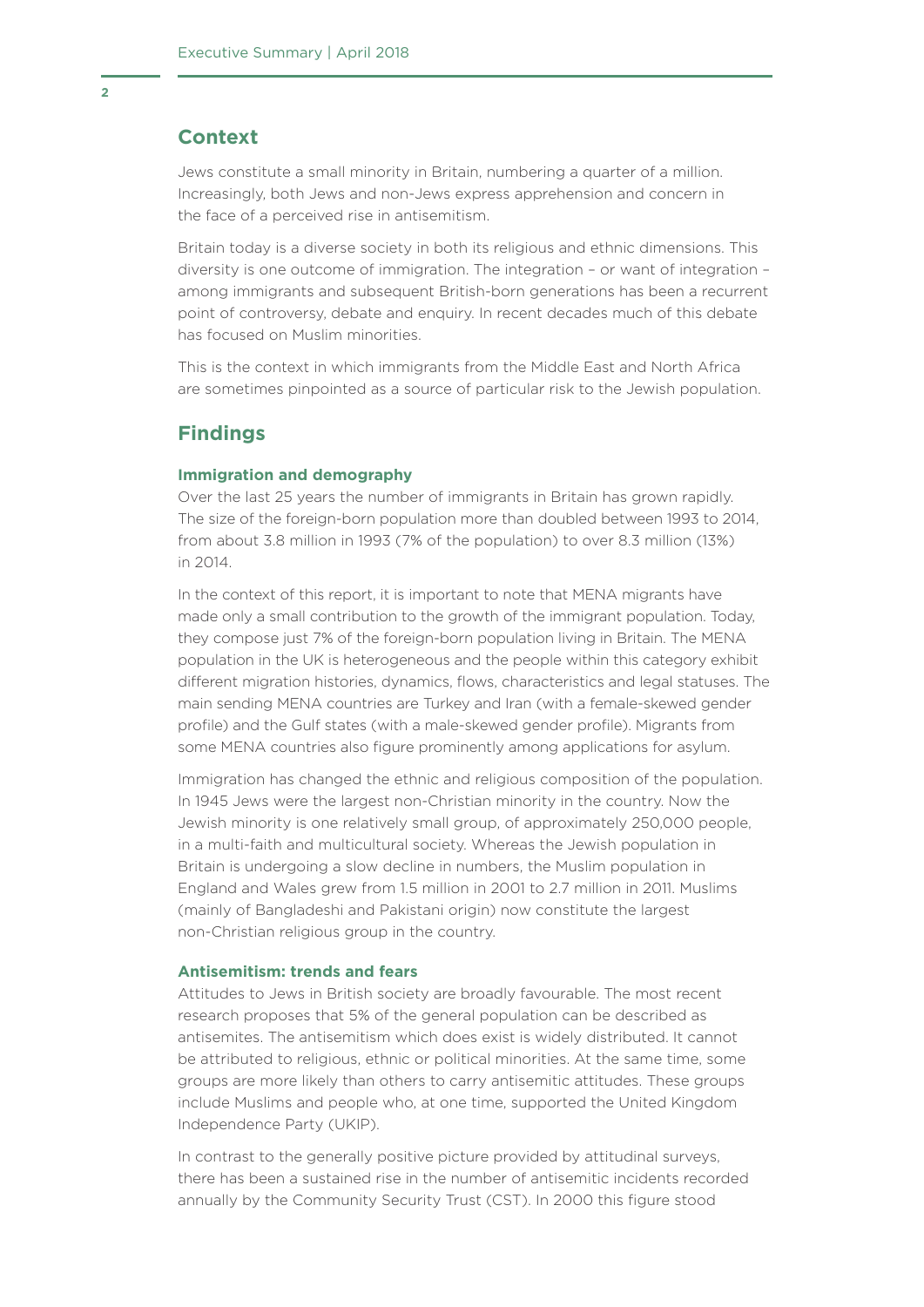### **Context**

Jews constitute a small minority in Britain, numbering a quarter of a million. Increasingly, both Jews and non-Jews express apprehension and concern in the face of a perceived rise in antisemitism.

Britain today is a diverse society in both its religious and ethnic dimensions. This diversity is one outcome of immigration. The integration – or want of integration – among immigrants and subsequent British-born generations has been a recurrent point of controversy, debate and enquiry. In recent decades much of this debate has focused on Muslim minorities.

This is the context in which immigrants from the Middle East and North Africa are sometimes pinpointed as a source of particular risk to the Jewish population.

## **Findings**

#### **Immigration and demography**

Over the last 25 years the number of immigrants in Britain has grown rapidly. The size of the foreign-born population more than doubled between 1993 to 2014, from about 3.8 million in 1993 (7% of the population) to over 8.3 million (13%) in 2014.

In the context of this report, it is important to note that MENA migrants have made only a small contribution to the growth of the immigrant population. Today, they compose just 7% of the foreign-born population living in Britain. The MENA population in the UK is heterogeneous and the people within this category exhibit different migration histories, dynamics, flows, characteristics and legal statuses. The main sending MENA countries are Turkey and Iran (with a female-skewed gender profile) and the Gulf states (with a male-skewed gender profile). Migrants from some MENA countries also figure prominently among applications for asylum.

Immigration has changed the ethnic and religious composition of the population. In 1945 Jews were the largest non-Christian minority in the country. Now the Jewish minority is one relatively small group, of approximately 250,000 people, in a multi-faith and multicultural society. Whereas the Jewish population in Britain is undergoing a slow decline in numbers, the Muslim population in England and Wales grew from 1.5 million in 2001 to 2.7 million in 2011. Muslims (mainly of Bangladeshi and Pakistani origin) now constitute the largest non-Christian religious group in the country.

#### **Antisemitism: trends and fears**

Attitudes to Jews in British society are broadly favourable. The most recent research proposes that 5% of the general population can be described as antisemites. The antisemitism which does exist is widely distributed. It cannot be attributed to religious, ethnic or political minorities. At the same time, some groups are more likely than others to carry antisemitic attitudes. These groups include Muslims and people who, at one time, supported the United Kingdom Independence Party (UKIP).

In contrast to the generally positive picture provided by attitudinal surveys, there has been a sustained rise in the number of antisemitic incidents recorded annually by the Community Security Trust (CST). In 2000 this figure stood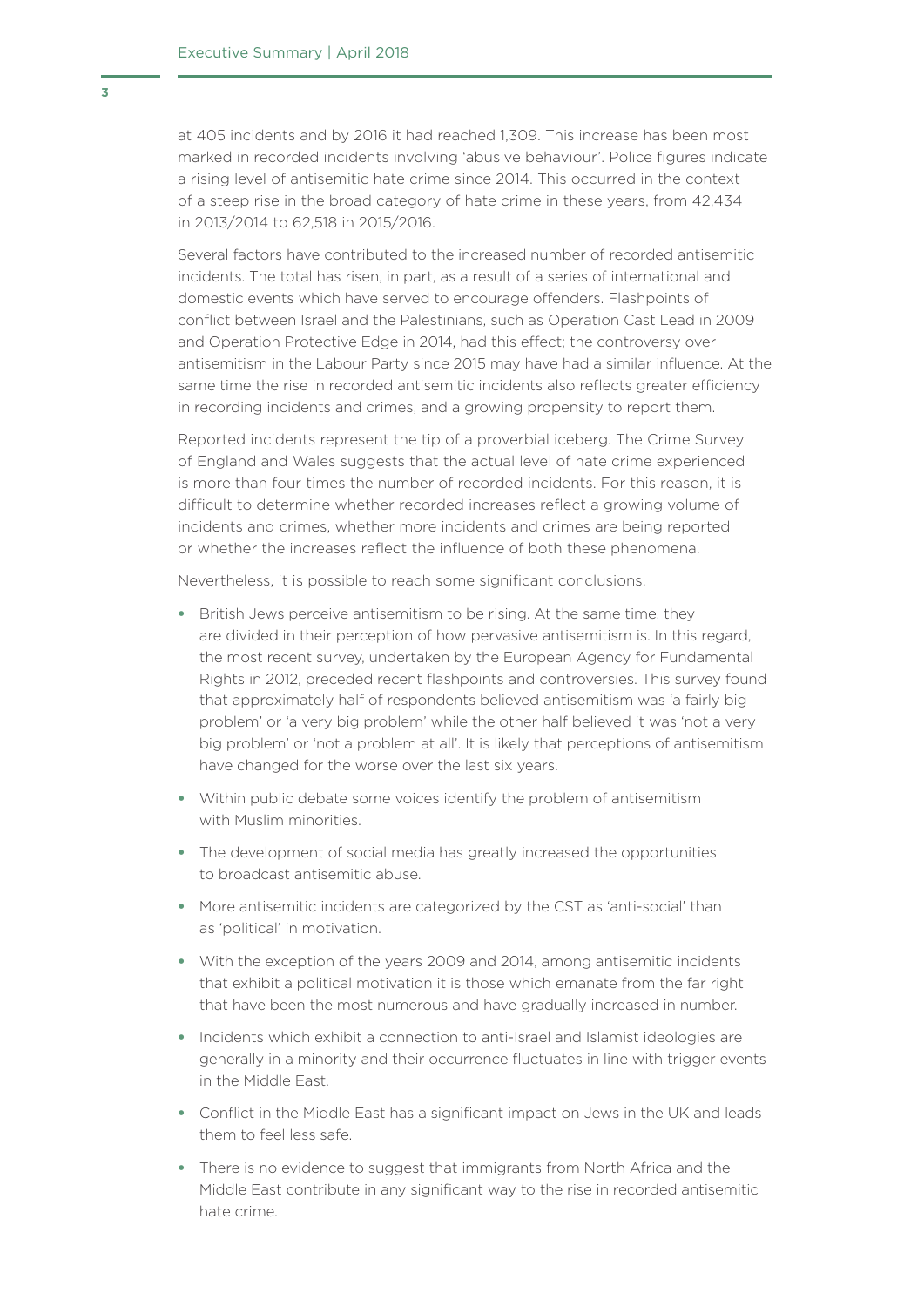at 405 incidents and by 2016 it had reached 1,309. This increase has been most marked in recorded incidents involving 'abusive behaviour'. Police figures indicate a rising level of antisemitic hate crime since 2014. This occurred in the context of a steep rise in the broad category of hate crime in these years, from 42,434 in 2013/2014 to 62,518 in 2015/2016.

Several factors have contributed to the increased number of recorded antisemitic incidents. The total has risen, in part, as a result of a series of international and domestic events which have served to encourage offenders. Flashpoints of conflict between Israel and the Palestinians, such as Operation Cast Lead in 2009 and Operation Protective Edge in 2014, had this effect; the controversy over antisemitism in the Labour Party since 2015 may have had a similar influence. At the same time the rise in recorded antisemitic incidents also reflects greater efficiency in recording incidents and crimes, and a growing propensity to report them.

Reported incidents represent the tip of a proverbial iceberg. The Crime Survey of England and Wales suggests that the actual level of hate crime experienced is more than four times the number of recorded incidents. For this reason, it is difficult to determine whether recorded increases reflect a growing volume of incidents and crimes, whether more incidents and crimes are being reported or whether the increases reflect the influence of both these phenomena.

Nevertheless, it is possible to reach some significant conclusions.

- British Jews perceive antisemitism to be rising. At the same time, they are divided in their perception of how pervasive antisemitism is. In this regard, the most recent survey, undertaken by the European Agency for Fundamental Rights in 2012, preceded recent flashpoints and controversies. This survey found that approximately half of respondents believed antisemitism was 'a fairly big problem' or 'a very big problem' while the other half believed it was 'not a very big problem' or 'not a problem at all'. It is likely that perceptions of antisemitism have changed for the worse over the last six years.
- Within public debate some voices identify the problem of antisemitism with Muslim minorities.
- The development of social media has greatly increased the opportunities to broadcast antisemitic abuse.
- More antisemitic incidents are categorized by the CST as 'anti-social' than as 'political' in motivation.
- With the exception of the years 2009 and 2014, among antisemitic incidents that exhibit a political motivation it is those which emanate from the far right that have been the most numerous and have gradually increased in number.
- Incidents which exhibit a connection to anti-Israel and Islamist ideologies are generally in a minority and their occurrence fluctuates in line with trigger events in the Middle East.
- Conflict in the Middle East has a significant impact on Jews in the UK and leads them to feel less safe.
- There is no evidence to suggest that immigrants from North Africa and the Middle East contribute in any significant way to the rise in recorded antisemitic hate crime.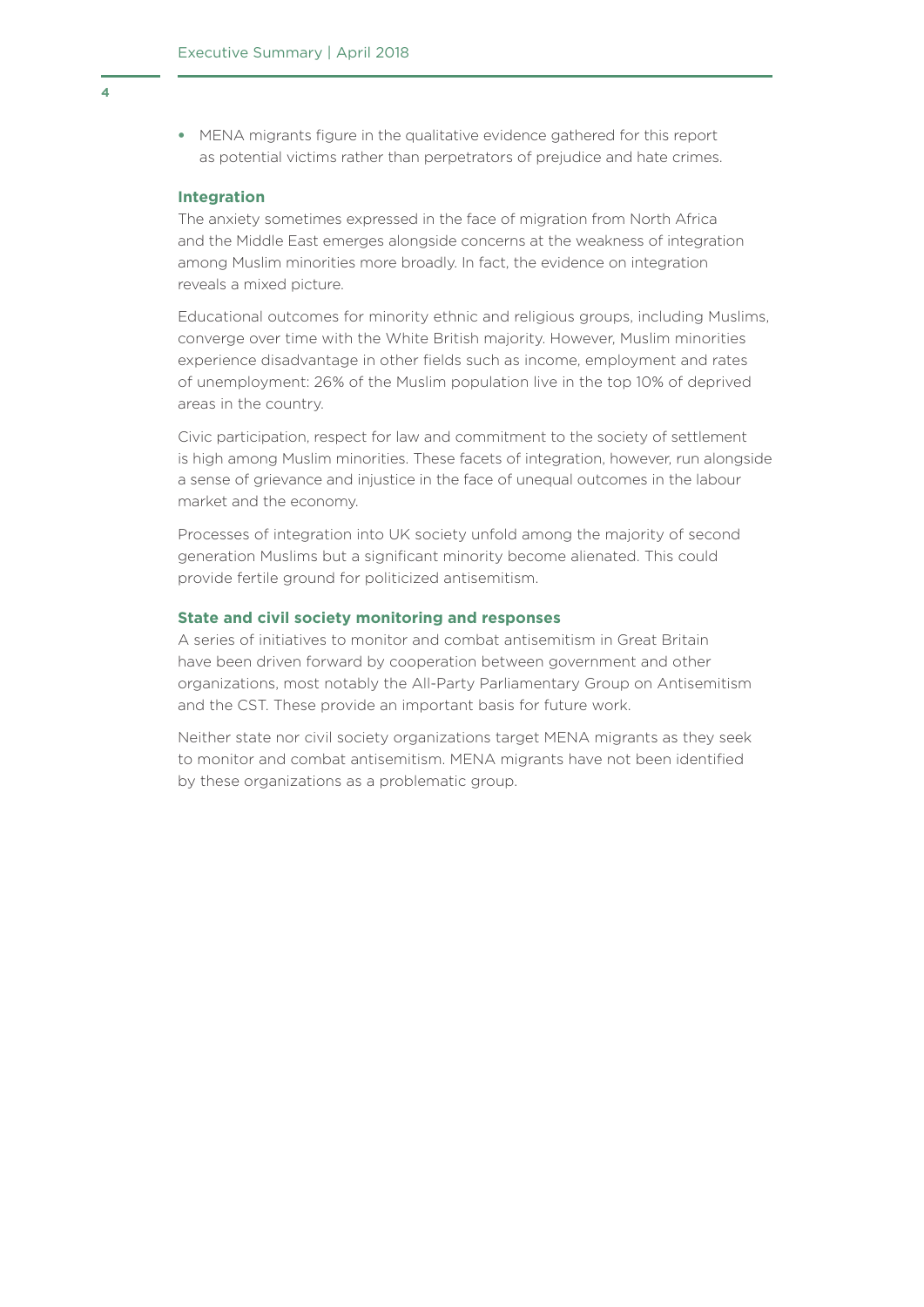• MENA migrants figure in the qualitative evidence gathered for this report as potential victims rather than perpetrators of prejudice and hate crimes.

#### **Integration**

The anxiety sometimes expressed in the face of migration from North Africa and the Middle East emerges alongside concerns at the weakness of integration among Muslim minorities more broadly. In fact, the evidence on integration reveals a mixed picture.

Educational outcomes for minority ethnic and religious groups, including Muslims, converge over time with the White British majority. However, Muslim minorities experience disadvantage in other fields such as income, employment and rates of unemployment: 26% of the Muslim population live in the top 10% of deprived areas in the country.

Civic participation, respect for law and commitment to the society of settlement is high among Muslim minorities. These facets of integration, however, run alongside a sense of grievance and injustice in the face of unequal outcomes in the labour market and the economy.

Processes of integration into UK society unfold among the majority of second generation Muslims but a significant minority become alienated. This could provide fertile ground for politicized antisemitism.

#### **State and civil society monitoring and responses**

A series of initiatives to monitor and combat antisemitism in Great Britain have been driven forward by cooperation between government and other organizations, most notably the All-Party Parliamentary Group on Antisemitism and the CST. These provide an important basis for future work.

Neither state nor civil society organizations target MENA migrants as they seek to monitor and combat antisemitism. MENA migrants have not been identified by these organizations as a problematic group.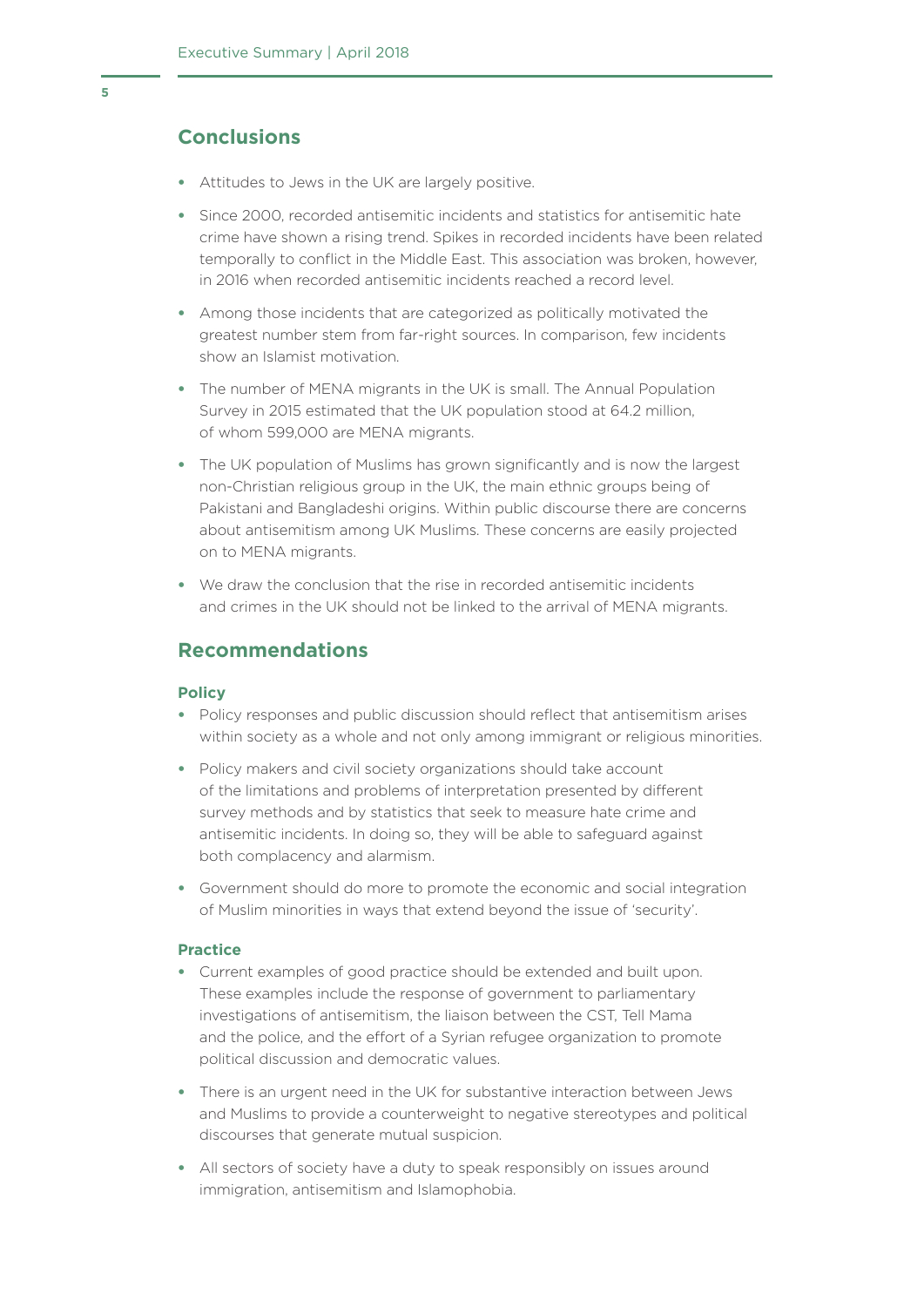# **Conclusions**

- Attitudes to Jews in the UK are largely positive.
- Since 2000, recorded antisemitic incidents and statistics for antisemitic hate crime have shown a rising trend. Spikes in recorded incidents have been related temporally to conflict in the Middle East. This association was broken, however, in 2016 when recorded antisemitic incidents reached a record level.
- Among those incidents that are categorized as politically motivated the greatest number stem from far-right sources. In comparison, few incidents show an Islamist motivation.
- The number of MENA migrants in the UK is small. The Annual Population Survey in 2015 estimated that the UK population stood at 64.2 million, of whom 599,000 are MENA migrants.
- The UK population of Muslims has grown significantly and is now the largest non-Christian religious group in the UK, the main ethnic groups being of Pakistani and Bangladeshi origins. Within public discourse there are concerns about antisemitism among UK Muslims. These concerns are easily projected on to MENA migrants.
- We draw the conclusion that the rise in recorded antisemitic incidents and crimes in the UK should not be linked to the arrival of MENA migrants.

## **Recommendations**

#### **Policy**

- Policy responses and public discussion should reflect that antisemitism arises within society as a whole and not only among immigrant or religious minorities.
- Policy makers and civil society organizations should take account of the limitations and problems of interpretation presented by different survey methods and by statistics that seek to measure hate crime and antisemitic incidents. In doing so, they will be able to safeguard against both complacency and alarmism.
- Government should do more to promote the economic and social integration of Muslim minorities in ways that extend beyond the issue of 'security'.

#### **Practice**

- Current examples of good practice should be extended and built upon. These examples include the response of government to parliamentary investigations of antisemitism, the liaison between the CST, Tell Mama and the police, and the effort of a Syrian refugee organization to promote political discussion and democratic values.
- There is an urgent need in the UK for substantive interaction between Jews and Muslims to provide a counterweight to negative stereotypes and political discourses that generate mutual suspicion.
- All sectors of society have a duty to speak responsibly on issues around immigration, antisemitism and Islamophobia.